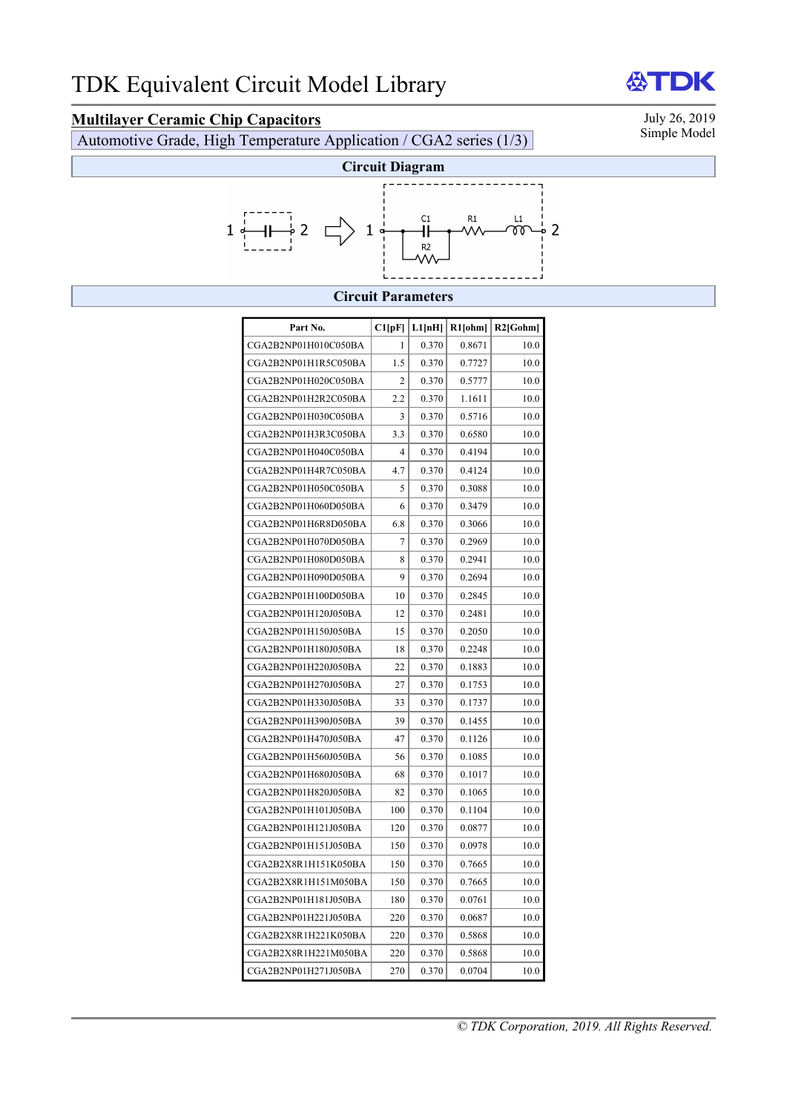**Multilayer Ceramic Chip Capacitors**<br>Automotive Grade High Temperature Application / CGA2 series (1/3) Simple Model Automotive Grade, High Temperature Application / CGA2 series  $(1/3)$ 



## **Circuit Parameters**

| Part No.             | Cl[pF]         | L1[nH] | $R1$ [ohm] | $R2$ [Gohm] |
|----------------------|----------------|--------|------------|-------------|
| CGA2B2NP01H010C050BA | 1              | 0.370  | 0.8671     | 10.0        |
| CGA2B2NP01H1R5C050BA | 1.5            | 0.370  | 0.7727     | 10.0        |
| CGA2B2NP01H020C050BA | 2              | 0.370  | 0.5777     | 10.0        |
| CGA2B2NP01H2R2C050BA | 2.2            | 0.370  | 1.1611     | 10.0        |
| CGA2B2NP01H030C050BA | 3              | 0.370  | 0.5716     | 10.0        |
| CGA2B2NP01H3R3C050BA | 3.3            | 0.370  | 0.6580     | 10.0        |
| CGA2B2NP01H040C050BA | $\overline{4}$ | 0.370  | 0.4194     | 10.0        |
| CGA2B2NP01H4R7C050BA | 4.7            | 0.370  | 0.4124     | 10.0        |
| CGA2B2NP01H050C050BA | 5              | 0.370  | 0.3088     | 10.0        |
| CGA2B2NP01H060D050BA | 6              | 0.370  | 0.3479     | 10.0        |
| CGA2B2NP01H6R8D050BA | 6.8            | 0.370  | 0.3066     | 10.0        |
| CGA2B2NP01H070D050BA | 7              | 0.370  | 0.2969     | 10.0        |
| CGA2B2NP01H080D050BA | 8              | 0.370  | 0.2941     | 10.0        |
| CGA2B2NP01H090D050BA | 9              | 0.370  | 0.2694     | 10.0        |
| CGA2B2NP01H100D050BA | 10             | 0.370  | 0.2845     | 10.0        |
| CGA2B2NP01H120J050BA | 12             | 0.370  | 0.2481     | 10.0        |
| CGA2B2NP01H150J050BA | 15             | 0.370  | 0.2050     | 10.0        |
| CGA2B2NP01H180J050BA | 18             | 0.370  | 0.2248     | 10.0        |
| CGA2B2NP01H220J050BA | 22             | 0.370  | 0.1883     | 10.0        |
| CGA2B2NP01H270J050BA | 27             | 0.370  | 0.1753     | 10.0        |
| CGA2B2NP01H330J050BA | 33             | 0.370  | 0.1737     | 10.0        |
| CGA2B2NP01H390J050BA | 39             | 0.370  | 0.1455     | 10.0        |
| CGA2B2NP01H470J050BA | 47             | 0.370  | 0.1126     | 10.0        |
| CGA2B2NP01H560J050BA | 56             | 0.370  | 0.1085     | 10.0        |
| CGA2B2NP01H680J050BA | 68             | 0.370  | 0.1017     | 10.0        |
| CGA2B2NP01H820J050BA | 82             | 0.370  | 0.1065     | 10.0        |
| CGA2B2NP01H101J050BA | 100            | 0.370  | 0.1104     | 10.0        |
| CGA2B2NP01H121J050BA | 120            | 0.370  | 0.0877     | 10.0        |
| CGA2B2NP01H151J050BA | 150            | 0.370  | 0.0978     | 10.0        |
| CGA2B2X8R1H151K050BA | 150            | 0.370  | 0.7665     | 10.0        |
| CGA2B2X8R1H151M050BA | 150            | 0.370  | 0.7665     | 10.0        |
| CGA2B2NP01H181J050BA | 180            | 0.370  | 0.0761     | 10.0        |
| CGA2B2NP01H221J050BA | 220            | 0.370  | 0.0687     | 10.0        |
| CGA2B2X8R1H221K050BA | 220            | 0.370  | 0.5868     | 10.0        |
| CGA2B2X8R1H221M050BA | 220            | 0.370  | 0.5868     | 10.0        |
| CGA2B2NP01H271J050BA | 270            | 0.370  | 0.0704     | 10.0        |

# **公TDK**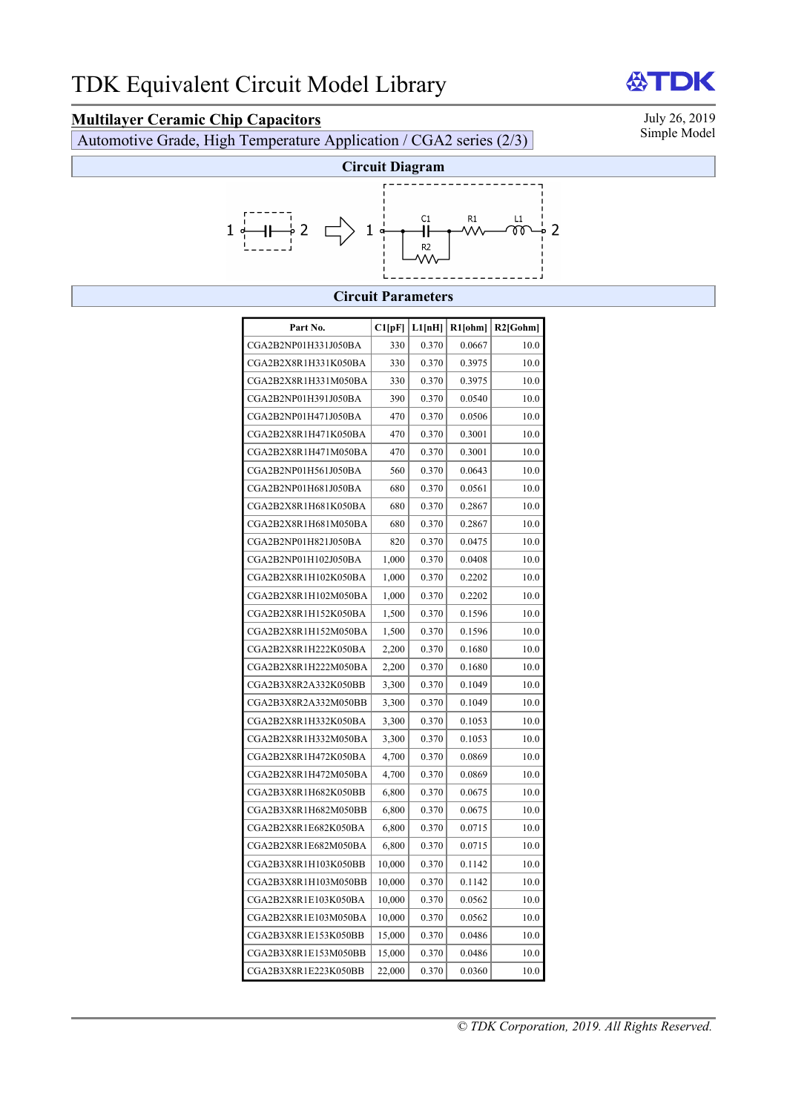**Multilayer Ceramic Chip Capacitors**<br>Automotive Grade High Temperature Application / CGA2 series (2/3) Simple Model Automotive Grade, High Temperature Application / CGA2 series (2/3)



### **Circuit Parameters**

| Part No.             | C1[pF] | L1[nH] | $R1$ [ohm] | $R2$ [Gohm] |
|----------------------|--------|--------|------------|-------------|
|                      |        |        |            |             |
| CGA2B2NP01H331J050BA | 330    | 0.370  | 0.0667     | 10.0        |
| CGA2B2X8R1H331K050BA | 330    | 0.370  | 0.3975     | 10.0        |
| CGA2B2X8R1H331M050BA | 330    | 0.370  | 0.3975     | 10.0        |
| CGA2B2NP01H391J050BA | 390    | 0.370  | 0.0540     | 10.0        |
| CGA2B2NP01H471J050BA | 470    | 0.370  | 0.0506     | 10.0        |
| CGA2B2X8R1H471K050BA | 470    | 0.370  | 0.3001     | 10.0        |
| CGA2B2X8R1H471M050BA | 470    | 0.370  | 0.3001     | 10.0        |
| CGA2B2NP01H561J050BA | 560    | 0.370  | 0.0643     | 10.0        |
| CGA2B2NP01H681J050BA | 680    | 0.370  | 0.0561     | 10.0        |
| CGA2B2X8R1H681K050BA | 680    | 0.370  | 0.2867     | 10.0        |
| CGA2B2X8R1H681M050BA | 680    | 0.370  | 0.2867     | 10.0        |
| CGA2B2NP01H821J050BA | 820    | 0.370  | 0.0475     | 10.0        |
| CGA2B2NP01H102J050BA | 1,000  | 0.370  | 0.0408     | 10.0        |
| CGA2B2X8R1H102K050BA | 1,000  | 0.370  | 0.2202     | 10.0        |
| CGA2B2X8R1H102M050BA | 1,000  | 0.370  | 0.2202     | 10.0        |
| CGA2B2X8R1H152K050BA | 1,500  | 0.370  | 0.1596     | 10.0        |
| CGA2B2X8R1H152M050BA | 1,500  | 0.370  | 0.1596     | 10.0        |
| CGA2B2X8R1H222K050BA | 2,200  | 0.370  | 0.1680     | 10.0        |
| CGA2B2X8R1H222M050BA | 2,200  | 0.370  | 0.1680     | 10.0        |
| CGA2B3X8R2A332K050BB | 3,300  | 0.370  | 0.1049     | 10.0        |
| CGA2B3X8R2A332M050BB | 3,300  | 0.370  | 0.1049     | 10.0        |
| CGA2B2X8R1H332K050BA | 3,300  | 0.370  | 0.1053     | 10.0        |
| CGA2B2X8R1H332M050BA | 3,300  | 0.370  | 0.1053     | 10.0        |
| CGA2B2X8R1H472K050BA | 4,700  | 0.370  | 0.0869     | 10.0        |
| CGA2B2X8R1H472M050BA | 4,700  | 0.370  | 0.0869     | 10.0        |
| CGA2B3X8R1H682K050BB | 6,800  | 0.370  | 0.0675     | 10.0        |
| CGA2B3X8R1H682M050BB | 6,800  | 0.370  | 0.0675     | 10.0        |
| CGA2B2X8R1E682K050BA | 6,800  | 0.370  | 0.0715     | 10.0        |
| CGA2B2X8R1E682M050BA | 6,800  | 0.370  | 0.0715     | 10.0        |
| CGA2B3X8R1H103K050BB | 10,000 | 0.370  | 0.1142     | 10.0        |
| CGA2B3X8R1H103M050BB | 10,000 | 0.370  | 0.1142     | 10.0        |
| CGA2B2X8R1E103K050BA | 10,000 | 0.370  | 0.0562     | 10.0        |
| CGA2B2X8R1E103M050BA | 10,000 | 0.370  | 0.0562     | 10.0        |
| CGA2B3X8R1E153K050BB | 15,000 | 0.370  | 0.0486     | 10.0        |
| CGA2B3X8R1E153M050BB | 15,000 | 0.370  | 0.0486     | 10.0        |
| CGA2B3X8R1E223K050BB | 22,000 | 0.370  | 0.0360     | 10.0        |